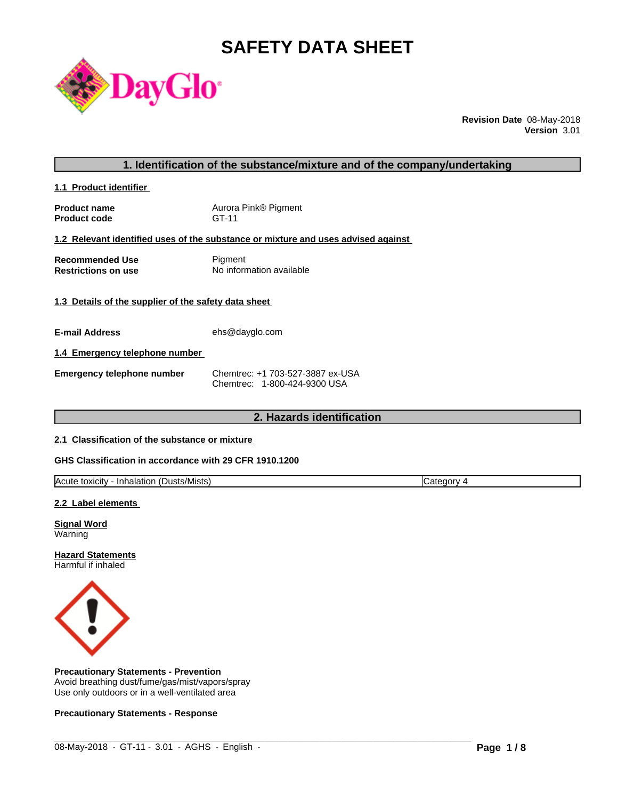# **SAFETY DATA SHEET**



**Revision Date** 08-May-2018 **Version** 3.01

#### **1. Identification of the substance/mixture and of the company/undertaking**

**1.1 Product identifier** 

**Product name** Aurora Pink® Pigment **Product code** GT-11

#### **1.2 Relevant identified uses of the substance or mixture and uses advised against**

**Recommended Use** Pigment<br> **Restrictions on use** No inform **No information available** 

#### **1.3 Details of the supplier of the safety data sheet**

**E-mail Address** ehs@dayglo.com

#### **1.4 Emergency telephone number**

**Emergency telephone number** Chemtrec: +1 703-527-3887 ex-USA Chemtrec: 1-800-424-9300 USA

# **2. Hazards identification**

#### **2.1 Classification of the substance or mixture**

#### **GHS Classification in accordance with 29 CFR 1910.1200**

| <b>Acute</b><br>. .<br>:Dusts/Mists<br>toxicity<br>Inhalation<br>oto<br>eaor<br>. valt |
|----------------------------------------------------------------------------------------|
|----------------------------------------------------------------------------------------|

 $\_$  ,  $\_$  ,  $\_$  ,  $\_$  ,  $\_$  ,  $\_$  ,  $\_$  ,  $\_$  ,  $\_$  ,  $\_$  ,  $\_$  ,  $\_$  ,  $\_$  ,  $\_$  ,  $\_$  ,  $\_$  ,  $\_$  ,  $\_$  ,  $\_$  ,  $\_$  ,  $\_$  ,  $\_$  ,  $\_$  ,  $\_$  ,  $\_$  ,  $\_$  ,  $\_$  ,  $\_$  ,  $\_$  ,  $\_$  ,  $\_$  ,  $\_$  ,  $\_$  ,  $\_$  ,  $\_$  ,  $\_$  ,  $\_$  ,

#### **2.2 Label elements**

**Signal Word** Warning

**Hazard Statements** Harmful if inhaled



#### **Precautionary Statements - Prevention**

Avoid breathing dust/fume/gas/mist/vapors/spray Use only outdoors or in a well-ventilated area

#### **Precautionary Statements - Response**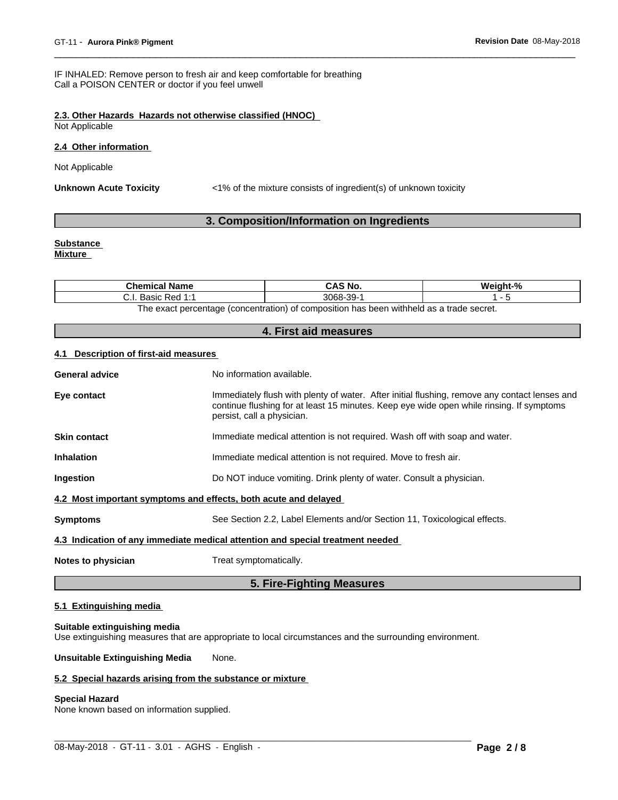IF INHALED: Remove person to fresh air and keep comfortable for breathing Call a POISON CENTER or doctor if you feel unwell

### **2.3. Other Hazards Hazards not otherwise classified (HNOC)**

Not Applicable

#### **2.4 Other information**

Not Applicable

Unknown Acute Toxicity **Example 21%** of the mixture consists of ingredient(s) of unknown toxicity

### **3. Composition/Information on Ingredients**

## **Substance**

**Mixture**

| <b>Chemical Name</b>                                                                    | CAS No.              | $\mathbf{a}$<br>'Veiaht- |
|-----------------------------------------------------------------------------------------|----------------------|--------------------------|
| . Red 1:1<br>منممت<br>DdSIU<br>ن.                                                       | .39-<br>3068-<br>ົບປ |                          |
| The event perceptage (conceptration) of composition has been withhold as a trade coaret |                      |                          |

The exact percentage (concentration) of composition has been withheld as a trade secret.

#### **4. First aid measures**

#### **4.1 Description of first-aid measures**

|                       | 5. Fire-Fighting Measures                                                                                                                                                                                               |
|-----------------------|-------------------------------------------------------------------------------------------------------------------------------------------------------------------------------------------------------------------------|
| Notes to physician    | Treat symptomatically.                                                                                                                                                                                                  |
|                       | 4.3 Indication of any immediate medical attention and special treatment needed                                                                                                                                          |
| <b>Symptoms</b>       | See Section 2.2, Label Elements and/or Section 11, Toxicological effects.                                                                                                                                               |
|                       | 4.2 Most important symptoms and effects, both acute and delayed                                                                                                                                                         |
| Ingestion             | Do NOT induce vomiting. Drink plenty of water. Consult a physician.                                                                                                                                                     |
| <b>Inhalation</b>     | Immediate medical attention is not required. Move to fresh air.                                                                                                                                                         |
| <b>Skin contact</b>   | Immediate medical attention is not required. Wash off with soap and water.                                                                                                                                              |
| Eye contact           | Immediately flush with plenty of water. After initial flushing, remove any contact lenses and<br>continue flushing for at least 15 minutes. Keep eye wide open while rinsing. If symptoms<br>persist, call a physician. |
| <b>General advice</b> | No information available.                                                                                                                                                                                               |
|                       |                                                                                                                                                                                                                         |

### **5.1 Extinguishing media**

#### **Suitable extinguishing media**

Use extinguishing measures that are appropriate to local circumstances and the surrounding environment.

**Unsuitable Extinguishing Media** None.

#### **5.2 Special hazards arising from the substance or mixture**

### **Special Hazard**

None known based on information supplied.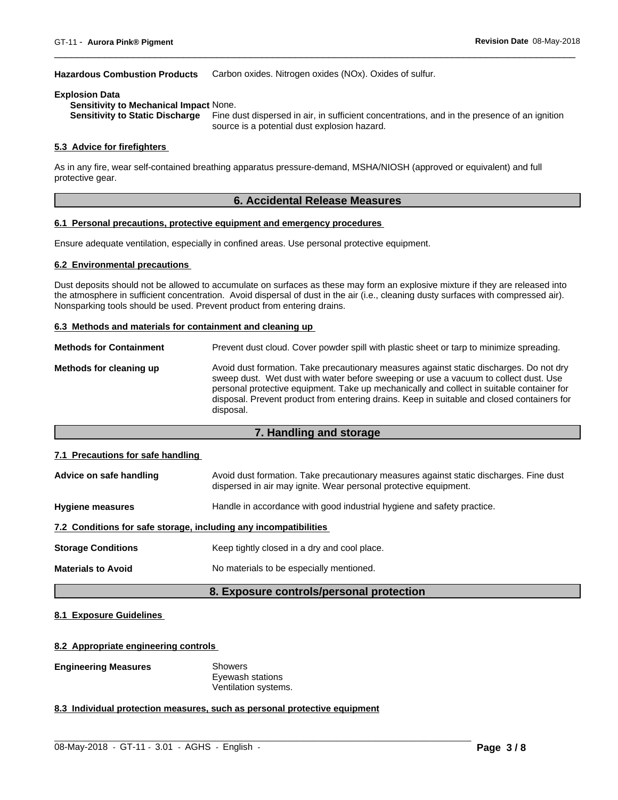#### **Hazardous Combustion Products** Carbon oxides. Nitrogen oxides (NOx). Oxides of sulfur.

#### **Explosion Data**

**Sensitivity to Mechanical Impact** None.

Fine dust dispersed in air, in sufficient concentrations, and in the presence of an ignition source is a potential dust explosion hazard.

#### **5.3 Advice for firefighters**

As in any fire, wear self-contained breathing apparatus pressure-demand, MSHA/NIOSH (approved or equivalent) and full protective gear.

### **6. Accidental Release Measures**

#### **6.1 Personal precautions, protective equipment and emergency procedures**

Ensure adequate ventilation, especially in confined areas. Use personal protective equipment.

#### **6.2 Environmental precautions**

Dust deposits should not be allowed to accumulate on surfaces as these may form an explosive mixture if they are released into the atmosphere in sufficient concentration. Avoid dispersal of dust in the air (i.e., cleaning dusty surfaces with compressed air). Nonsparking tools should be used. Prevent product from entering drains.

#### **6.3 Methods and materials for containment and cleaning up**

| <b>Methods for Containment</b> | Prevent dust cloud. Cover powder spill with plastic sheet or tarp to minimize spreading.                                                                                                                                                                                                                                                                                                |
|--------------------------------|-----------------------------------------------------------------------------------------------------------------------------------------------------------------------------------------------------------------------------------------------------------------------------------------------------------------------------------------------------------------------------------------|
| Methods for cleaning up        | Avoid dust formation. Take precautionary measures against static discharges. Do not dry<br>sweep dust. Wet dust with water before sweeping or use a vacuum to collect dust. Use<br>personal protective equipment. Take up mechanically and collect in suitable container for<br>disposal. Prevent product from entering drains. Keep in suitable and closed containers for<br>disposal. |

#### **7. Handling and storage**

#### **7.1 Precautions for safe handling**

| Advice on safe handling                                          | Avoid dust formation. Take precautionary measures against static discharges. Fine dust<br>dispersed in air may ignite. Wear personal protective equipment. |  |  |  |
|------------------------------------------------------------------|------------------------------------------------------------------------------------------------------------------------------------------------------------|--|--|--|
| <b>Hygiene measures</b>                                          | Handle in accordance with good industrial hygiene and safety practice.                                                                                     |  |  |  |
| 7.2 Conditions for safe storage, including any incompatibilities |                                                                                                                                                            |  |  |  |
| <b>Storage Conditions</b>                                        | Keep tightly closed in a dry and cool place.                                                                                                               |  |  |  |
| <b>Materials to Avoid</b>                                        | No materials to be especially mentioned.                                                                                                                   |  |  |  |

#### **8. Exposure controls/personal protection**

 $\_$  ,  $\_$  ,  $\_$  ,  $\_$  ,  $\_$  ,  $\_$  ,  $\_$  ,  $\_$  ,  $\_$  ,  $\_$  ,  $\_$  ,  $\_$  ,  $\_$  ,  $\_$  ,  $\_$  ,  $\_$  ,  $\_$  ,  $\_$  ,  $\_$  ,  $\_$  ,  $\_$  ,  $\_$  ,  $\_$  ,  $\_$  ,  $\_$  ,  $\_$  ,  $\_$  ,  $\_$  ,  $\_$  ,  $\_$  ,  $\_$  ,  $\_$  ,  $\_$  ,  $\_$  ,  $\_$  ,  $\_$  ,  $\_$  ,

#### **8.1 Exposure Guidelines**

#### **8.2 Appropriate engineering controls**

#### **Engineering Measures** Showers

Eyewash stations Ventilation systems.

#### **8.3 Individual protection measures, such as personal protective equipment**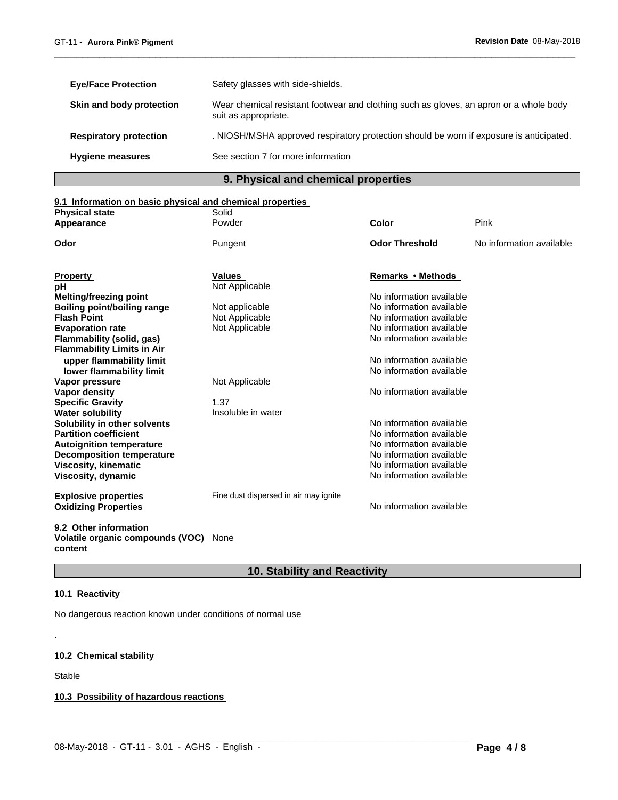| <b>Eye/Face Protection</b>    | Safety glasses with side-shields.                                                                              |
|-------------------------------|----------------------------------------------------------------------------------------------------------------|
| Skin and body protection      | Wear chemical resistant footwear and clothing such as gloves, an apron or a whole body<br>suit as appropriate. |
| <b>Respiratory protection</b> | . NIOSH/MSHA approved respiratory protection should be worn if exposure is anticipated.                        |
| <b>Hygiene measures</b>       | See section 7 for more information                                                                             |

# **9. Physical and chemical properties**

# **9.1 Information on basic physical and chemical properties**

| <b>Physical state</b>             | Solid                                 |                          |                          |
|-----------------------------------|---------------------------------------|--------------------------|--------------------------|
| Appearance                        | Powder                                | Color                    | Pink                     |
| Odor                              | Pungent                               | <b>Odor Threshold</b>    | No information available |
| <b>Property</b>                   | Values                                | Remarks • Methods        |                          |
| рH                                | Not Applicable                        |                          |                          |
| <b>Melting/freezing point</b>     |                                       | No information available |                          |
| Boiling point/boiling range       | Not applicable                        | No information available |                          |
| <b>Flash Point</b>                | Not Applicable                        | No information available |                          |
| <b>Evaporation rate</b>           | Not Applicable                        | No information available |                          |
| Flammability (solid, gas)         |                                       | No information available |                          |
| <b>Flammability Limits in Air</b> |                                       |                          |                          |
| upper flammability limit          |                                       | No information available |                          |
| lower flammability limit          |                                       | No information available |                          |
| Vapor pressure                    | Not Applicable                        |                          |                          |
| Vapor density                     |                                       | No information available |                          |
| <b>Specific Gravity</b>           | 1.37                                  |                          |                          |
| <b>Water solubility</b>           | Insoluble in water                    |                          |                          |
| Solubility in other solvents      |                                       | No information available |                          |
| <b>Partition coefficient</b>      |                                       | No information available |                          |
| <b>Autoignition temperature</b>   |                                       | No information available |                          |
| <b>Decomposition temperature</b>  |                                       | No information available |                          |
| <b>Viscosity, kinematic</b>       |                                       | No information available |                          |
| Viscosity, dynamic                |                                       | No information available |                          |
| <b>Explosive properties</b>       | Fine dust dispersed in air may ignite |                          |                          |
| <b>Oxidizing Properties</b>       |                                       | No information available |                          |
|                                   |                                       |                          |                          |
| 9.2 Other information             |                                       |                          |                          |
| Volatile organic compounds (VOC)  | None                                  |                          |                          |

**content**

# **10. Stability and Reactivity**

 $\_$  ,  $\_$  ,  $\_$  ,  $\_$  ,  $\_$  ,  $\_$  ,  $\_$  ,  $\_$  ,  $\_$  ,  $\_$  ,  $\_$  ,  $\_$  ,  $\_$  ,  $\_$  ,  $\_$  ,  $\_$  ,  $\_$  ,  $\_$  ,  $\_$  ,  $\_$  ,  $\_$  ,  $\_$  ,  $\_$  ,  $\_$  ,  $\_$  ,  $\_$  ,  $\_$  ,  $\_$  ,  $\_$  ,  $\_$  ,  $\_$  ,  $\_$  ,  $\_$  ,  $\_$  ,  $\_$  ,  $\_$  ,  $\_$  ,

# **10.1 Reactivity**

No dangerous reaction known under conditions of normal use

# **10.2 Chemical stability**

Stable

.

**10.3 Possibility of hazardous reactions**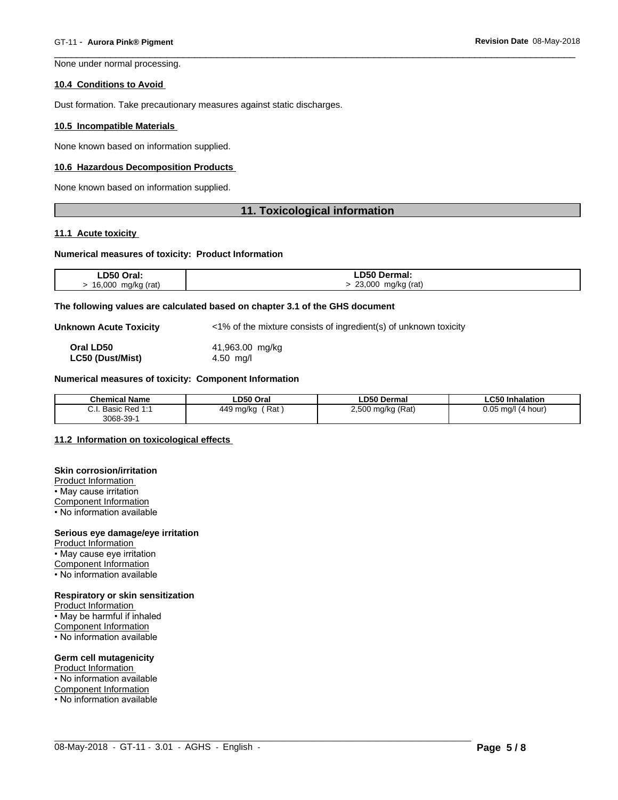None under normal processing.

#### **10.4 Conditions to Avoid**

Dust formation. Take precautionary measures against static discharges.

#### **10.5 Incompatible Materials**

None known based on information supplied.

#### **10.6 Hazardous Decomposition Products**

None known based on information supplied.

#### **11. Toxicological information**

#### **11.1 Acute toxicity**

#### **Numerical measures of toxicity: Product Information**

| LD50 Oral:         | ∟D50 Dermal:          |
|--------------------|-----------------------|
| 16,000 mg/kg (rat) | 23,000<br>mg/kg (rat) |

#### **The following values are calculated based on chapter 3.1 of the GHS document**

**Unknown Acute Toxicity**  $\langle 1\% \rangle$  of the mixture consists of ingredient(s) of unknown toxicity

**Oral LD50** 41,963.00 mg/kg **LC50 (Dust/Mist)** 4.50 mg/l

#### **Numerical measures of toxicity: Component Information**

| <b>Chemical Name</b>                              | LD50 Oral             | ∟D50 Dermal                       | <b>CEAL.</b><br>Inhalation |
|---------------------------------------------------|-----------------------|-----------------------------------|----------------------------|
| ⌒<br>D 1<br>$P_{0}$<br><b>D</b> asic<br>υ.ι.<br>. | 449<br>Rat<br>∣ ma/kc | <sup>)</sup> mg/kg (Rat)<br>חחף כ | 0.05<br>(4 hour)<br>ma/l   |
| 3068-39-                                          |                       |                                   |                            |

 $\_$  ,  $\_$  ,  $\_$  ,  $\_$  ,  $\_$  ,  $\_$  ,  $\_$  ,  $\_$  ,  $\_$  ,  $\_$  ,  $\_$  ,  $\_$  ,  $\_$  ,  $\_$  ,  $\_$  ,  $\_$  ,  $\_$  ,  $\_$  ,  $\_$  ,  $\_$  ,  $\_$  ,  $\_$  ,  $\_$  ,  $\_$  ,  $\_$  ,  $\_$  ,  $\_$  ,  $\_$  ,  $\_$  ,  $\_$  ,  $\_$  ,  $\_$  ,  $\_$  ,  $\_$  ,  $\_$  ,  $\_$  ,  $\_$  ,

#### **11.2 Information on toxicologicaleffects**

#### **Skin corrosion/irritation**

Product Information • May cause irritation Component Information

• No information available

#### **Serious eye damage/eye irritation**

Product Information • May cause eye irritation Component Information • No information available

#### **Respiratory or skin sensitization**

Product Information • May be harmful if inhaled Component Information • No information available

#### **Germ cell mutagenicity**

Product Information • No information available Component Information • No information available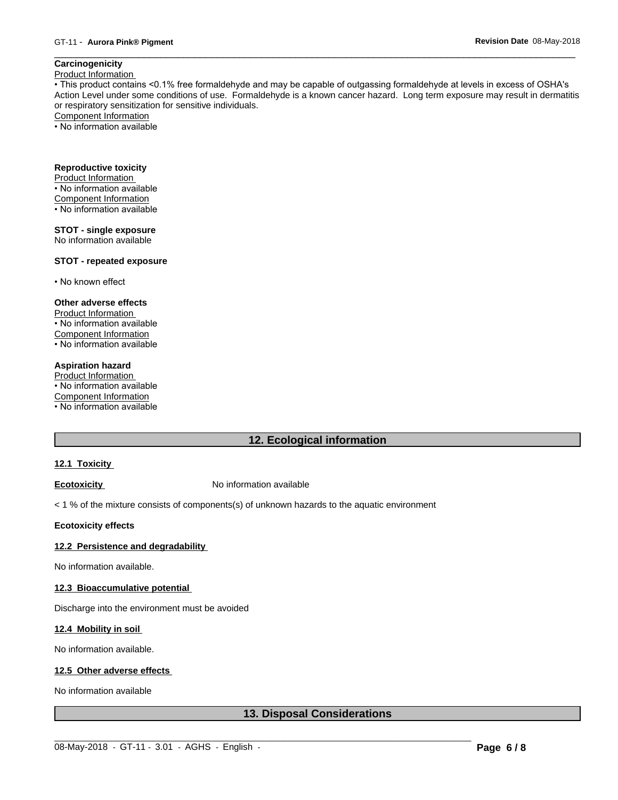# **Carcinogenicity**

Product Information

• This product contains <0.1% free formaldehyde and may be capable of outgassing formaldehyde at levels in excess of OSHA's Action Level under some conditions of use. Formaldehyde is a known cancer hazard. Long term exposure may result in dermatitis or respiratory sensitization for sensitive individuals.Component Information

• No information available

# **Reproductive toxicity**

Product Information • No information available

- Component Information
- No information available
- 

# **STOT - single exposure**

No information available

#### **STOT - repeated exposure**

• No known effect

#### **Other adverse effects**

Product Information • No information available Component Information • No information available

#### **Aspiration hazard**

Product Information • No information available Component Information • No information available

# **12. Ecological information**

#### **12.1 Toxicity**

**Ecotoxicity No information available** 

< 1 % of the mixture consists of components(s) of unknown hazards to the aquatic environment

#### **Ecotoxicity effects**

#### **12.2 Persistence and degradability**

No information available.

#### **12.3 Bioaccumulative potential**

Discharge into the environment must be avoided

#### **12.4 Mobility in soil**

No information available.

#### **12.5 Other adverse effects**

No information available

# **13. Disposal Considerations**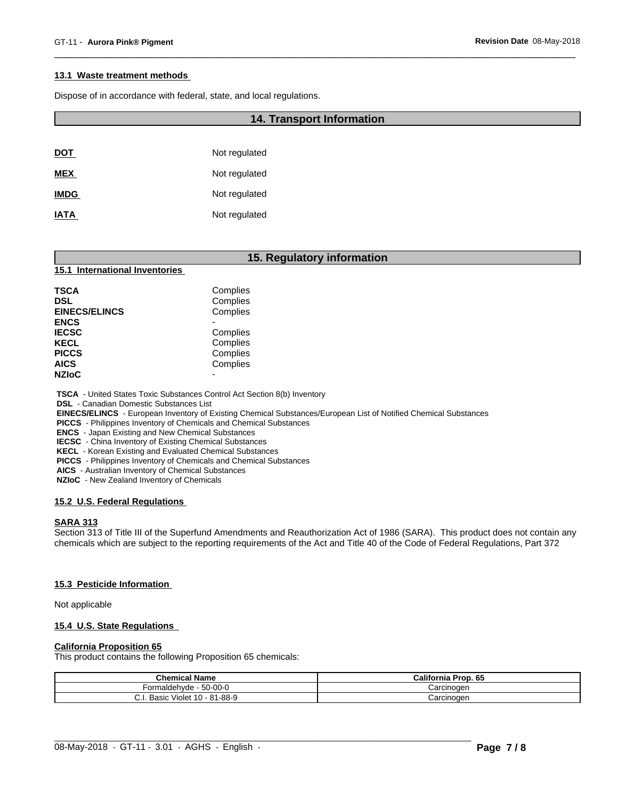#### **13.1 Waste treatment methods**

Dispose of in accordance with federal, state, and local regulations.

#### **14. Transport Information**

| <b>DOT</b>  | Not regulated |
|-------------|---------------|
| <b>MEX</b>  | Not regulated |
| <b>IMDG</b> | Not regulated |
| <b>IATA</b> | Not regulated |

#### **15. Regulatory information**

#### **15.1 International Inventories**

| <b>TSCA</b>          | Complies |  |
|----------------------|----------|--|
| <b>DSL</b>           | Complies |  |
| <b>EINECS/ELINCS</b> | Complies |  |
| <b>ENCS</b>          |          |  |
| <b>IECSC</b>         | Complies |  |
| <b>KECL</b>          | Complies |  |
| <b>PICCS</b>         | Complies |  |
| <b>AICS</b>          | Complies |  |
| <b>NZIoC</b>         |          |  |
|                      |          |  |

 **TSCA** - United States Toxic Substances Control Act Section 8(b) Inventory

 **DSL** - Canadian Domestic Substances List

 **EINECS/ELINCS** - European Inventory of Existing Chemical Substances/European List of Notified Chemical Substances

 **PICCS** - Philippines Inventory of Chemicals and Chemical Substances

 **ENCS** - Japan Existing and New Chemical Substances

 **IECSC** - China Inventory of Existing Chemical Substances

 **KECL** - Korean Existing and Evaluated Chemical Substances

 **PICCS** - Philippines Inventory of Chemicals and Chemical Substances

 **AICS** - Australian Inventory of Chemical Substances

 **NZIoC** - New Zealand Inventory of Chemicals

#### **15.2 U.S. Federal Regulations**

#### **SARA 313**

Section 313 of Title III of the Superfund Amendments and Reauthorization Act of 1986 (SARA). This product does not contain any chemicals which are subject to the reporting requirements of the Act and Title 40 of the Code of Federal Regulations, Part 372

#### **15.3 Pesticide Information**

Not applicable

#### **15.4 U.S. State Regulations**

#### **California Proposition 65**

This product contains the following Proposition 65 chemicals:

| <b>Chemical Name</b>              | California Prop. 65 |
|-----------------------------------|---------------------|
| - 50-00-0<br>maldehvde            | Carcinogen          |
| Violet 10 - 81-88-9<br>Basic<br>ີ | Carcinogen          |

 $\_$  ,  $\_$  ,  $\_$  ,  $\_$  ,  $\_$  ,  $\_$  ,  $\_$  ,  $\_$  ,  $\_$  ,  $\_$  ,  $\_$  ,  $\_$  ,  $\_$  ,  $\_$  ,  $\_$  ,  $\_$  ,  $\_$  ,  $\_$  ,  $\_$  ,  $\_$  ,  $\_$  ,  $\_$  ,  $\_$  ,  $\_$  ,  $\_$  ,  $\_$  ,  $\_$  ,  $\_$  ,  $\_$  ,  $\_$  ,  $\_$  ,  $\_$  ,  $\_$  ,  $\_$  ,  $\_$  ,  $\_$  ,  $\_$  ,